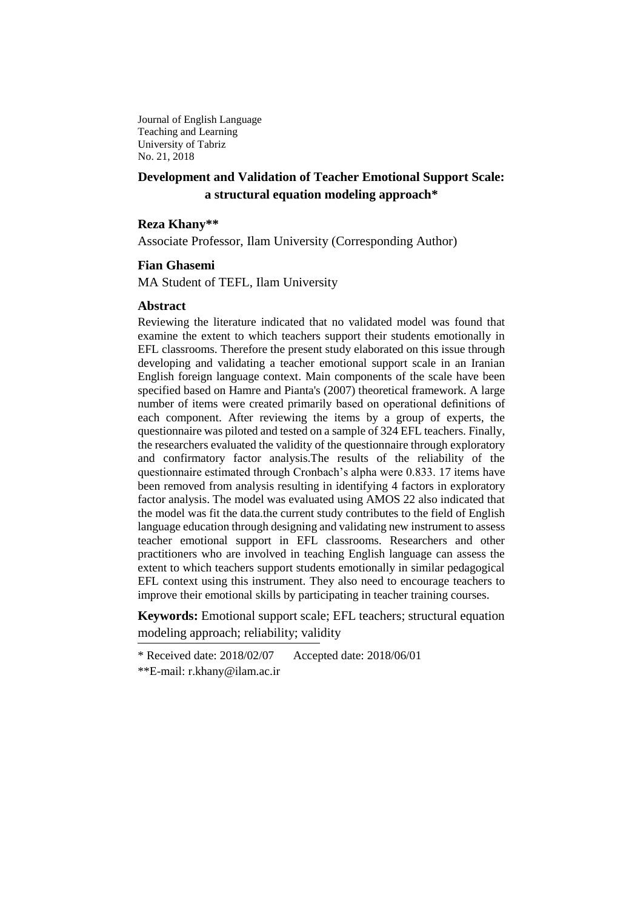Journal of English Language Teaching and Learning University of Tabriz No. 21, 2018

# **Development and Validation of Teacher Emotional Support Scale: a structural equation modeling approach\***

#### **Reza Khany\*\***

Associate Professor, Ilam University (Corresponding Author)

### **Fian Ghasemi**

MA Student of TEFL, Ilam University

#### **Abstract**

Reviewing the literature indicated that no validated model was found that examine the extent to which teachers support their students emotionally in EFL classrooms. Therefore the present study elaborated on this issue through developing and validating a teacher emotional support scale in an Iranian English foreign language context. Main components of the scale have been specified based on Hamre and Pianta's (2007) theoretical framework. A large number of items were created primarily based on operational definitions of each component. After reviewing the items by a group of experts, the questionnaire was piloted and tested on a sample of 324 EFL teachers. Finally, the researchers evaluated the validity of the questionnaire through exploratory and confirmatory factor analysis.The results of the reliability of the questionnaire estimated through Cronbach's alpha were 0.833. 17 items have been removed from analysis resulting in identifying 4 factors in exploratory factor analysis. The model was evaluated using AMOS 22 also indicated that the model was fit the data.the current study contributes to the field of English language education through designing and validating new instrument to assess teacher emotional support in EFL classrooms. Researchers and other practitioners who are involved in teaching English language can assess the extent to which teachers support students emotionally in similar pedagogical EFL context using this instrument. They also need to encourage teachers to improve their emotional skills by participating in teacher training courses.

**Keywords:** Emotional support scale; EFL teachers; structural equation modeling approach; reliability; validity

<sup>\*</sup> Received date: 2018/02/07 Accepted date: 2018/06/01

<sup>\*\*</sup>E-mail: [r.khany@ilam.ac.ir](mailto:r.khany@ilam.ac.ir)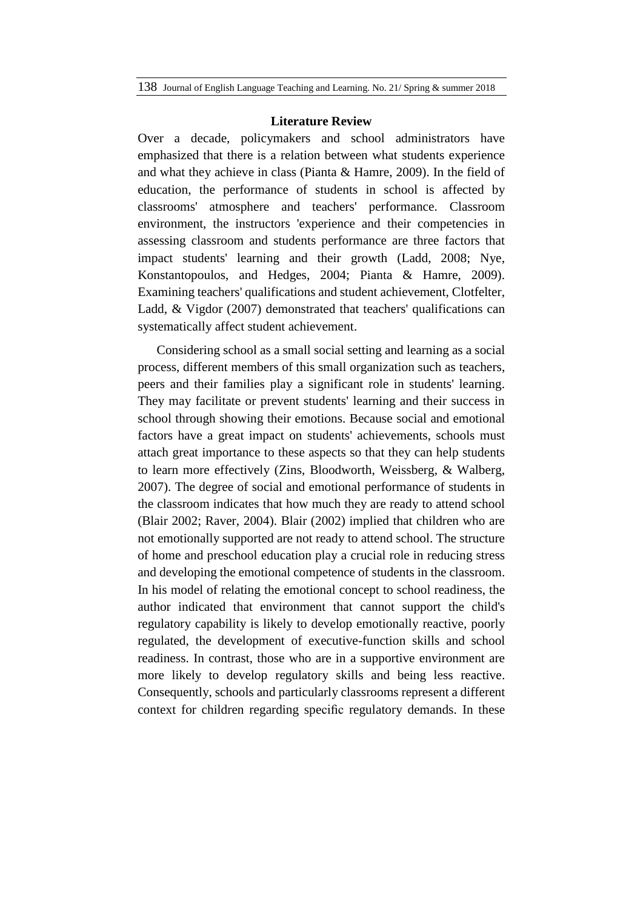#### **Literature Review**

Over a decade, policymakers and school administrators have emphasized that there is a relation between what students experience and what they achieve in class (Pianta & Hamre, 2009). In the field of education, the performance of students in school is affected by classrooms' atmosphere and teachers' performance. Classroom environment, the instructors 'experience and their competencies in assessing classroom and students performance are three factors that impact students' learning and their growth (Ladd, 2008; Nye, Konstantopoulos, and Hedges, 2004; Pianta & Hamre, 2009). Examining teachers' qualifications and student achievement, Clotfelter, Ladd, & Vigdor (2007) demonstrated that teachers' qualifications can systematically affect student achievement.

Considering school as a small social setting and learning as a social process, different members of this small organization such as teachers, peers and their families play a significant role in students' learning. They may facilitate or prevent students' learning and their success in school through showing their emotions. Because social and emotional factors have a great impact on students' achievements, schools must attach great importance to these aspects so that they can help students to learn more effectively (Zins, Bloodworth, Weissberg, & Walberg, 2007). The degree of social and emotional performance of students in the classroom indicates that how much they are ready to attend school (Blair 2002; Raver, 2004). Blair (2002) implied that children who are not emotionally supported are not ready to attend school. The structure of home and preschool education play a crucial role in reducing stress and developing the emotional competence of students in the classroom. In his model of relating the emotional concept to school readiness, the author indicated that environment that cannot support the child's regulatory capability is likely to develop emotionally reactive, poorly regulated, the development of executive-function skills and school readiness. In contrast, those who are in a supportive environment are more likely to develop regulatory skills and being less reactive. Consequently, schools and particularly classrooms represent a different context for children regarding specific regulatory demands. In these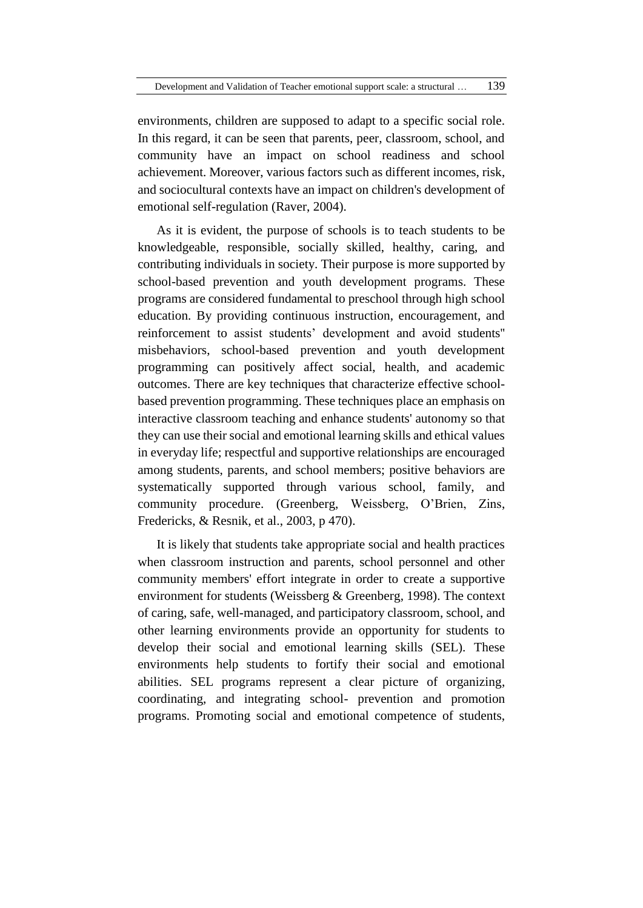environments, children are supposed to adapt to a specific social role. In this regard, it can be seen that parents, peer, classroom, school, and community have an impact on school readiness and school achievement. Moreover, various factors such as different incomes, risk, and sociocultural contexts have an impact on children's development of emotional self-regulation (Raver, 2004).

As it is evident, the purpose of schools is to teach students to be knowledgeable, responsible, socially skilled, healthy, caring, and contributing individuals in society. Their purpose is more supported by school-based prevention and youth development programs. These programs are considered fundamental to preschool through high school education. By providing continuous instruction, encouragement, and reinforcement to assist students' development and avoid students'' misbehaviors, school-based prevention and youth development programming can positively affect social, health, and academic outcomes. There are key techniques that characterize effective schoolbased prevention programming. These techniques place an emphasis on interactive classroom teaching and enhance students' autonomy so that they can use their social and emotional learning skills and ethical values in everyday life; respectful and supportive relationships are encouraged among students, parents, and school members; positive behaviors are systematically supported through various school, family, and community procedure. (Greenberg, Weissberg, O'Brien, Zins, Fredericks, & Resnik, et al., 2003, p 470).

It is likely that students take appropriate social and health practices when classroom instruction and parents, school personnel and other community members' effort integrate in order to create a supportive environment for students (Weissberg & Greenberg, 1998). The context of caring, safe, well-managed, and participatory classroom, school, and other learning environments provide an opportunity for students to develop their social and emotional learning skills (SEL). These environments help students to fortify their social and emotional abilities. SEL programs represent a clear picture of organizing, coordinating, and integrating school- prevention and promotion programs. Promoting social and emotional competence of students,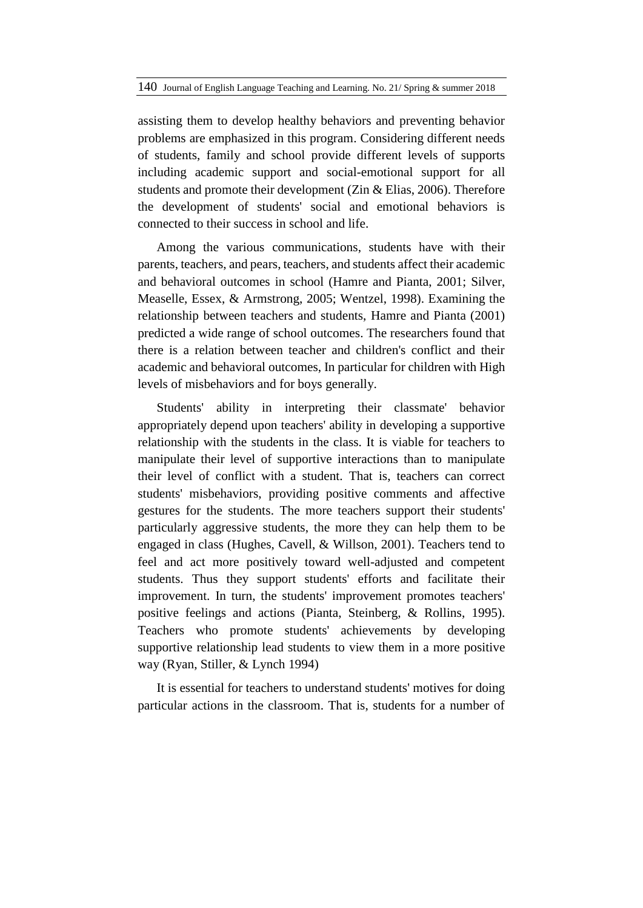assisting them to develop healthy behaviors and preventing behavior problems are emphasized in this program. Considering different needs of students, family and school provide different levels of supports including academic support and social-emotional support for all students and promote their development (Zin & Elias, 2006). Therefore the development of students' social and emotional behaviors is connected to their success in school and life.

Among the various communications, students have with their parents, teachers, and pears, teachers, and students affect their academic and behavioral outcomes in school (Hamre and Pianta, 2001; Silver, Measelle, Essex, & Armstrong, 2005; Wentzel, 1998). Examining the relationship between teachers and students, Hamre and Pianta (2001) predicted a wide range of school outcomes. The researchers found that there is a relation between teacher and children's conflict and their academic and behavioral outcomes, In particular for children with High levels of misbehaviors and for boys generally.

Students' ability in interpreting their classmate' behavior appropriately depend upon teachers' ability in developing a supportive relationship with the students in the class. It is viable for teachers to manipulate their level of supportive interactions than to manipulate their level of conflict with a student. That is, teachers can correct students' misbehaviors, providing positive comments and affective gestures for the students. The more teachers support their students' particularly aggressive students, the more they can help them to be engaged in class (Hughes, Cavell, & Willson, 2001). Teachers tend to feel and act more positively toward well-adjusted and competent students. Thus they support students' efforts and facilitate their improvement. In turn, the students' improvement promotes teachers' positive feelings and actions (Pianta, Steinberg, & Rollins, 1995). Teachers who promote students' achievements by developing supportive relationship lead students to view them in a more positive way (Ryan, Stiller, & Lynch 1994)

It is essential for teachers to understand students' motives for doing particular actions in the classroom. That is, students for a number of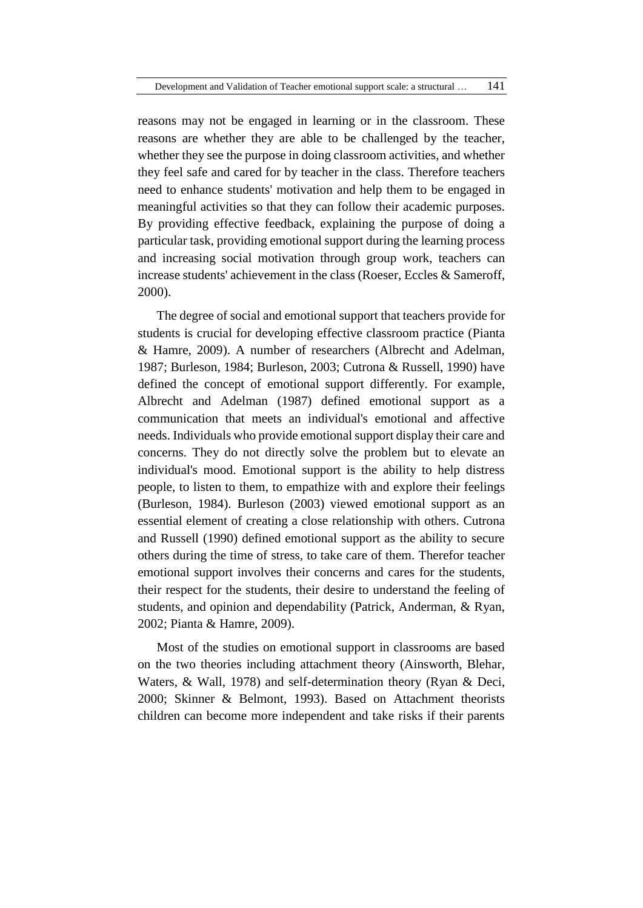reasons may not be engaged in learning or in the classroom. These reasons are whether they are able to be challenged by the teacher, whether they see the purpose in doing classroom activities, and whether they feel safe and cared for by teacher in the class. Therefore teachers need to enhance students' motivation and help them to be engaged in meaningful activities so that they can follow their academic purposes. By providing effective feedback, explaining the purpose of doing a particular task, providing emotional support during the learning process and increasing social motivation through group work, teachers can increase students' achievement in the class (Roeser, Eccles & Sameroff, 2000).

The degree of social and emotional support that teachers provide for students is crucial for developing effective classroom practice (Pianta & Hamre, 2009). A number of researchers (Albrecht and Adelman, 1987; Burleson, 1984; Burleson, 2003; Cutrona & Russell, 1990) have defined the concept of emotional support differently. For example, Albrecht and Adelman (1987) defined emotional support as a communication that meets an individual's emotional and affective needs. Individuals who provide emotional support display their care and concerns. They do not directly solve the problem but to elevate an individual's mood. Emotional support is the ability to help distress people, to listen to them, to empathize with and explore their feelings (Burleson, 1984). Burleson (2003) viewed emotional support as an essential element of creating a close relationship with others. Cutrona and Russell (1990) defined emotional support as the ability to secure others during the time of stress, to take care of them. Therefor teacher emotional support involves their concerns and cares for the students, their respect for the students, their desire to understand the feeling of students, and opinion and dependability (Patrick, Anderman, & Ryan, 2002; Pianta & Hamre, 2009).

Most of the studies on emotional support in classrooms are based on the two theories including attachment theory (Ainsworth, Blehar, Waters, & Wall, 1978) and self-determination theory (Ryan & Deci, 2000; Skinner & Belmont, 1993). Based on Attachment theorists children can become more independent and take risks if their parents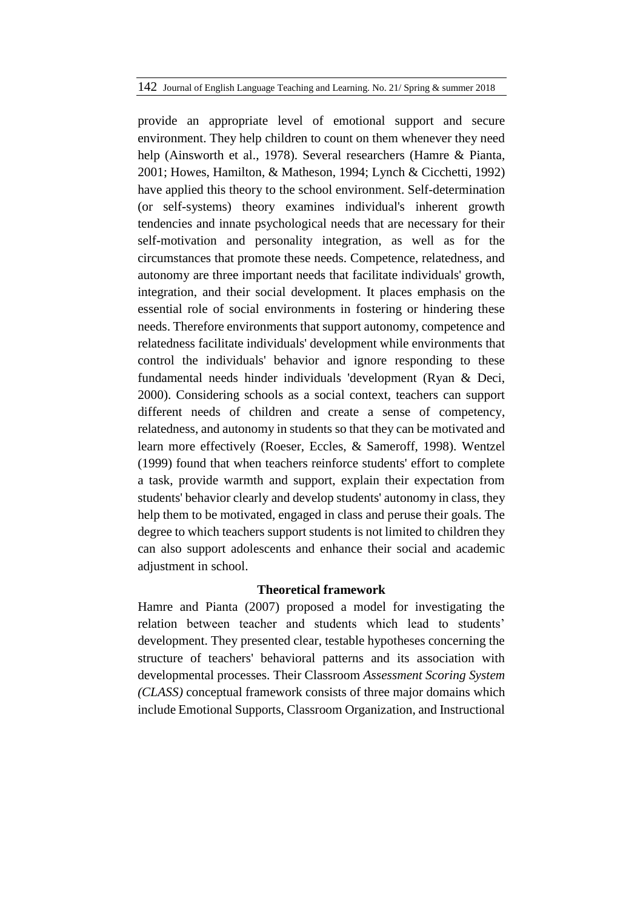provide an appropriate level of emotional support and secure environment. They help children to count on them whenever they need help (Ainsworth et al., 1978). Several researchers (Hamre & Pianta, 2001; Howes, Hamilton, & Matheson, 1994; Lynch & Cicchetti, 1992) have applied this theory to the school environment. Self-determination (or self-systems) theory examines individual's inherent growth tendencies and innate psychological needs that are necessary for their self-motivation and personality integration, as well as for the circumstances that promote these needs. Competence, relatedness, and autonomy are three important needs that facilitate individuals' growth, integration, and their social development. It places emphasis on the essential role of social environments in fostering or hindering these needs. Therefore environments that support autonomy, competence and relatedness facilitate individuals' development while environments that control the individuals' behavior and ignore responding to these fundamental needs hinder individuals 'development (Ryan & Deci, 2000). Considering schools as a social context, teachers can support different needs of children and create a sense of competency, relatedness, and autonomy in students so that they can be motivated and learn more effectively (Roeser, Eccles, & Sameroff, 1998). Wentzel (1999) found that when teachers reinforce students' effort to complete a task, provide warmth and support, explain their expectation from students' behavior clearly and develop students' autonomy in class, they help them to be motivated, engaged in class and peruse their goals. The degree to which teachers support students is not limited to children they can also support adolescents and enhance their social and academic adjustment in school.

### **Theoretical framework**

Hamre and Pianta (2007) proposed a model for investigating the relation between teacher and students which lead to students' development. They presented clear, testable hypotheses concerning the structure of teachers' behavioral patterns and its association with developmental processes. Their Classroom *Assessment Scoring System (CLASS)* conceptual framework consists of three major domains which include Emotional Supports, Classroom Organization, and Instructional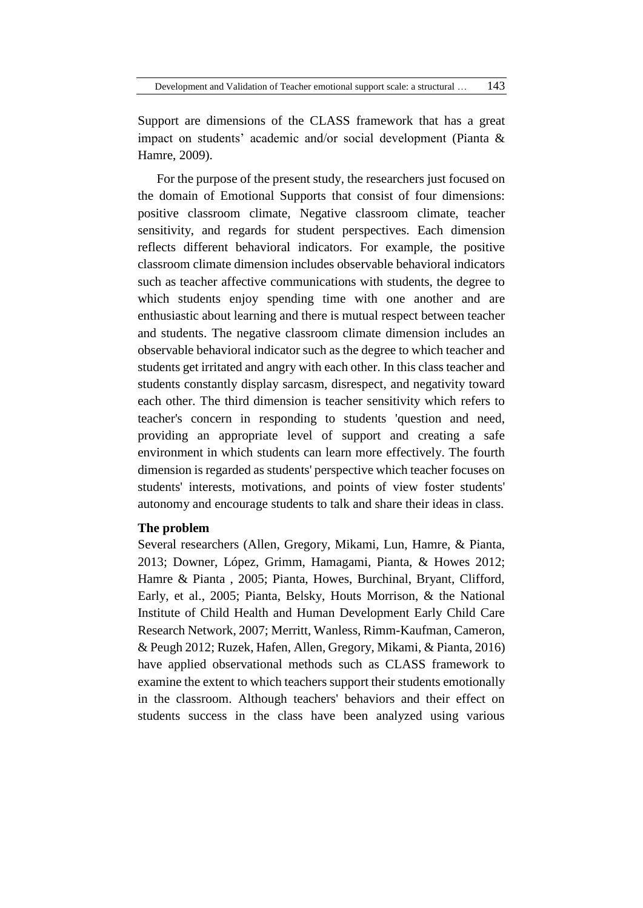Support are dimensions of the CLASS framework that has a great impact on students' academic and/or social development (Pianta & Hamre, 2009).

For the purpose of the present study, the researchers just focused on the domain of Emotional Supports that consist of four dimensions: positive classroom climate, Negative classroom climate, teacher sensitivity, and regards for student perspectives. Each dimension reflects different behavioral indicators. For example, the positive classroom climate dimension includes observable behavioral indicators such as teacher affective communications with students, the degree to which students enjoy spending time with one another and are enthusiastic about learning and there is mutual respect between teacher and students. The negative classroom climate dimension includes an observable behavioral indicator such as the degree to which teacher and students get irritated and angry with each other. In this class teacher and students constantly display sarcasm, disrespect, and negativity toward each other. The third dimension is teacher sensitivity which refers to teacher's concern in responding to students 'question and need, providing an appropriate level of support and creating a safe environment in which students can learn more effectively. The fourth dimension is regarded as students' perspective which teacher focuses on students' interests, motivations, and points of view foster students' autonomy and encourage students to talk and share their ideas in class.

#### **The problem**

Several researchers (Allen, Gregory, Mikami, Lun, Hamre, & Pianta, 2013; Downer, López, Grimm, Hamagami, Pianta, & Howes 2012; Hamre & Pianta , 2005; Pianta, Howes, Burchinal, Bryant, Clifford, Early, et al., 2005; Pianta, Belsky, Houts Morrison, & the National Institute of Child Health and Human Development Early Child Care Research Network, 2007; Merritt, Wanless, Rimm-Kaufman, Cameron, & Peugh 2012; Ruzek, Hafen, Allen, Gregory, Mikami, & Pianta, 2016) have applied observational methods such as CLASS framework to examine the extent to which teachers support their students emotionally in the classroom. Although teachers' behaviors and their effect on students success in the class have been analyzed using various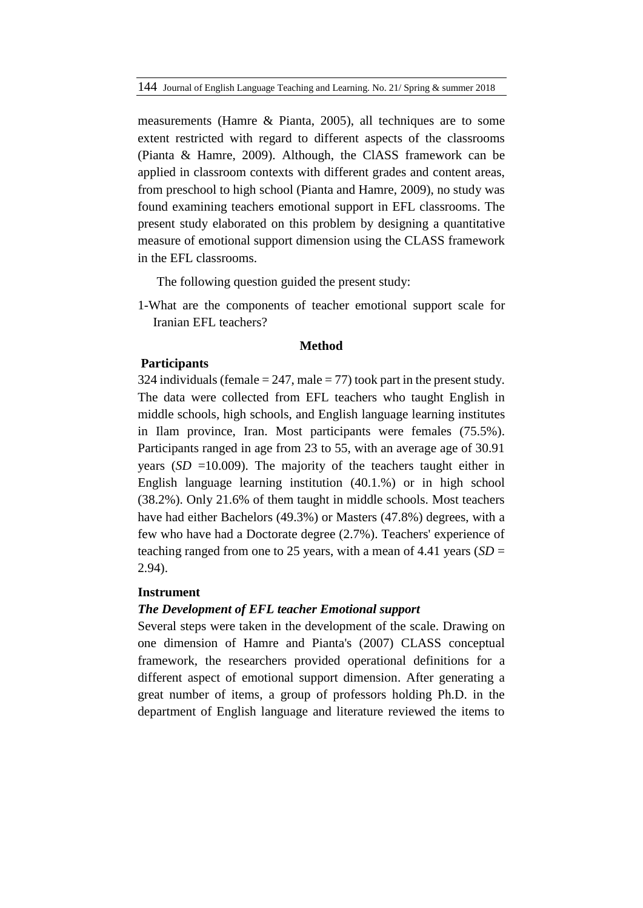measurements (Hamre & Pianta, 2005), all techniques are to some extent restricted with regard to different aspects of the classrooms (Pianta & Hamre, 2009). Although, the ClASS framework can be applied in classroom contexts with different grades and content areas, from preschool to high school (Pianta and Hamre, 2009), no study was found examining teachers emotional support in EFL classrooms. The present study elaborated on this problem by designing a quantitative measure of emotional support dimension using the CLASS framework in the EFL classrooms.

The following question guided the present study:

1-What are the components of teacher emotional support scale for Iranian EFL teachers?

#### **Method**

#### **Participants**

324 individuals (female  $= 247$ , male  $= 77$ ) took part in the present study. The data were collected from EFL teachers who taught English in middle schools, high schools, and English language learning institutes in Ilam province, Iran. Most participants were females (75.5%). Participants ranged in age from 23 to 55, with an average age of 30.91 years  $(SD = 10.009)$ . The majority of the teachers taught either in English language learning institution (40.1.%) or in high school (38.2%). Only 21.6% of them taught in middle schools. Most teachers have had either Bachelors (49.3%) or Masters (47.8%) degrees, with a few who have had a Doctorate degree (2.7%). Teachers' experience of teaching ranged from one to 25 years, with a mean of 4.41 years (*SD* = 2.94).

#### **Instrument**

## *The Development of EFL teacher Emotional support*

Several steps were taken in the development of the scale. Drawing on one dimension of Hamre and Pianta's (2007) CLASS conceptual framework, the researchers provided operational definitions for a different aspect of emotional support dimension. After generating a great number of items, a group of professors holding Ph.D. in the department of English language and literature reviewed the items to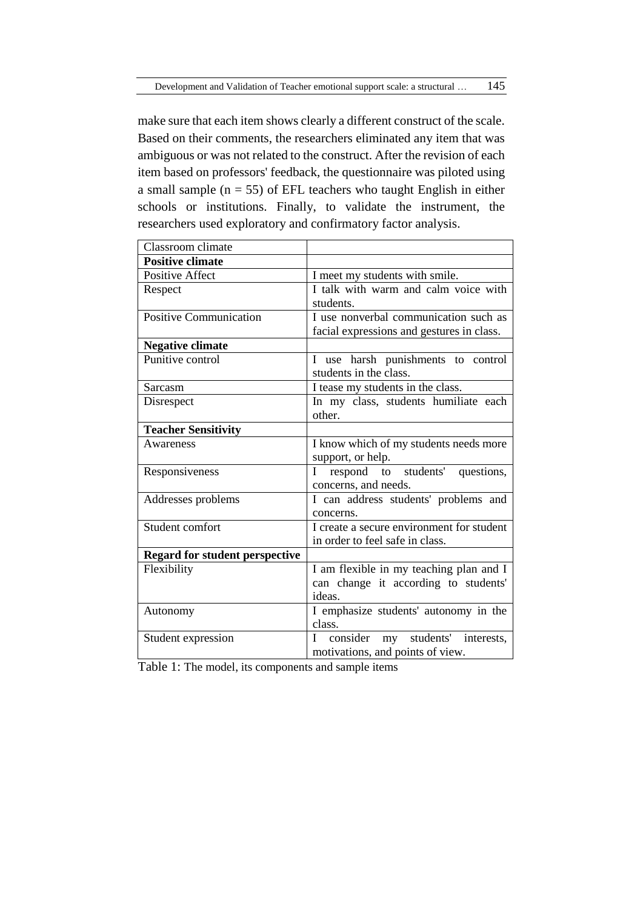make sure that each item shows clearly a different construct of the scale. Based on their comments, the researchers eliminated any item that was ambiguous or was not related to the construct. After the revision of each item based on professors' feedback, the questionnaire was piloted using a small sample ( $n = 55$ ) of EFL teachers who taught English in either schools or institutions. Finally, to validate the instrument, the researchers used exploratory and confirmatory factor analysis.

| Classroom climate                     |                                             |  |  |  |  |
|---------------------------------------|---------------------------------------------|--|--|--|--|
| <b>Positive climate</b>               |                                             |  |  |  |  |
| <b>Positive Affect</b>                | I meet my students with smile.              |  |  |  |  |
| Respect                               | I talk with warm and calm voice with        |  |  |  |  |
|                                       | students.                                   |  |  |  |  |
| <b>Positive Communication</b>         | I use nonverbal communication such as       |  |  |  |  |
|                                       | facial expressions and gestures in class.   |  |  |  |  |
| <b>Negative climate</b>               |                                             |  |  |  |  |
| Punitive control                      | I use harsh punishments to control          |  |  |  |  |
|                                       | students in the class.                      |  |  |  |  |
| Sarcasm                               | I tease my students in the class.           |  |  |  |  |
| Disrespect                            | In my class, students humiliate each        |  |  |  |  |
|                                       | other.                                      |  |  |  |  |
| <b>Teacher Sensitivity</b>            |                                             |  |  |  |  |
| Awareness                             | I know which of my students needs more      |  |  |  |  |
|                                       | support, or help.                           |  |  |  |  |
| Responsiveness                        | I respond to students' questions,           |  |  |  |  |
|                                       | concerns, and needs.                        |  |  |  |  |
| Addresses problems                    | I can address students' problems and        |  |  |  |  |
|                                       | concerns.                                   |  |  |  |  |
| Student comfort                       | I create a secure environment for student   |  |  |  |  |
|                                       | in order to feel safe in class.             |  |  |  |  |
| <b>Regard for student perspective</b> |                                             |  |  |  |  |
| Flexibility                           | I am flexible in my teaching plan and I     |  |  |  |  |
|                                       | can change it according to students'        |  |  |  |  |
|                                       | ideas.                                      |  |  |  |  |
| Autonomy                              | I emphasize students' autonomy in the       |  |  |  |  |
|                                       | class.                                      |  |  |  |  |
| Student expression                    | consider<br>my students'<br>L<br>interests, |  |  |  |  |
|                                       | motivations, and points of view.            |  |  |  |  |

Table 1: The model, its components and sample items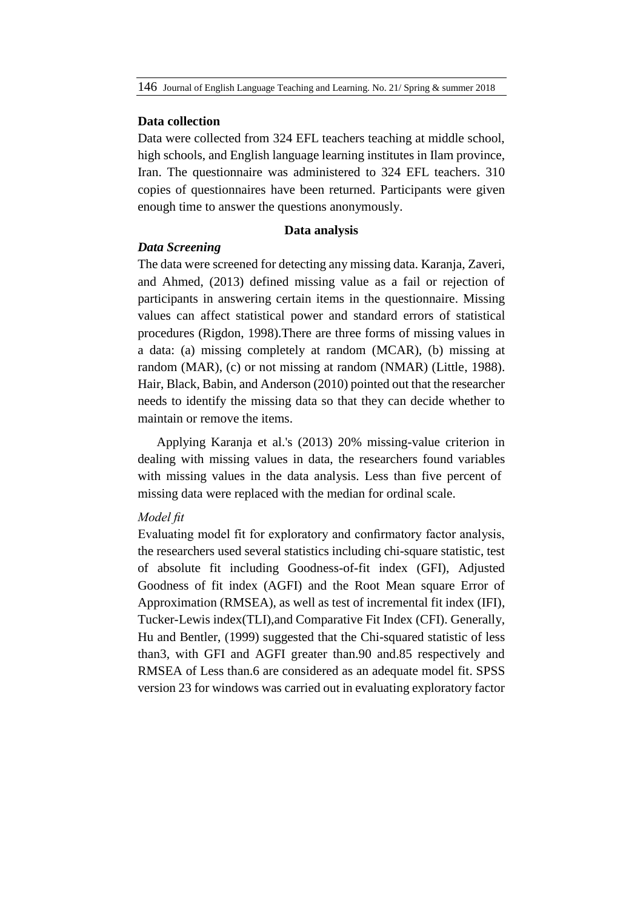#### **Data collection**

Data were collected from 324 EFL teachers teaching at middle school, high schools, and English language learning institutes in Ilam province, Iran. The questionnaire was administered to 324 EFL teachers. 310 copies of questionnaires have been returned. Participants were given enough time to answer the questions anonymously.

#### **Data analysis**

### *Data Screening*

The data were screened for detecting any missing data. Karanja, Zaveri, and Ahmed, (2013) defined missing value as a fail or rejection of participants in answering certain items in the questionnaire. Missing values can affect statistical power and standard errors of statistical procedures (Rigdon, 1998).There are three forms of missing values in a data: (a) missing completely at random (MCAR), (b) missing at random (MAR), (c) or not missing at random (NMAR) (Little, 1988). Hair, Black, Babin, and Anderson (2010) pointed out that the researcher needs to identify the missing data so that they can decide whether to maintain or remove the items.

Applying Karanja et al.'s (2013) 20% missing-value criterion in dealing with missing values in data, the researchers found variables with missing values in the data analysis. Less than five percent of missing data were replaced with the median for ordinal scale.

### *Model fit*

Evaluating model fit for exploratory and confirmatory factor analysis, the researchers used several statistics including chi-square statistic, test of absolute fit including Goodness-of-fit index (GFI), Adjusted Goodness of fit index (AGFI) and the Root Mean square Error of Approximation (RMSEA), as well as test of incremental fit index (IFI), Tucker-Lewis index(TLI),and Comparative Fit Index (CFI). Generally, Hu and Bentler, (1999) suggested that the Chi-squared statistic of less than3, with GFI and AGFI greater than.90 and.85 respectively and RMSEA of Less than.6 are considered as an adequate model fit. SPSS version 23 for windows was carried out in evaluating exploratory factor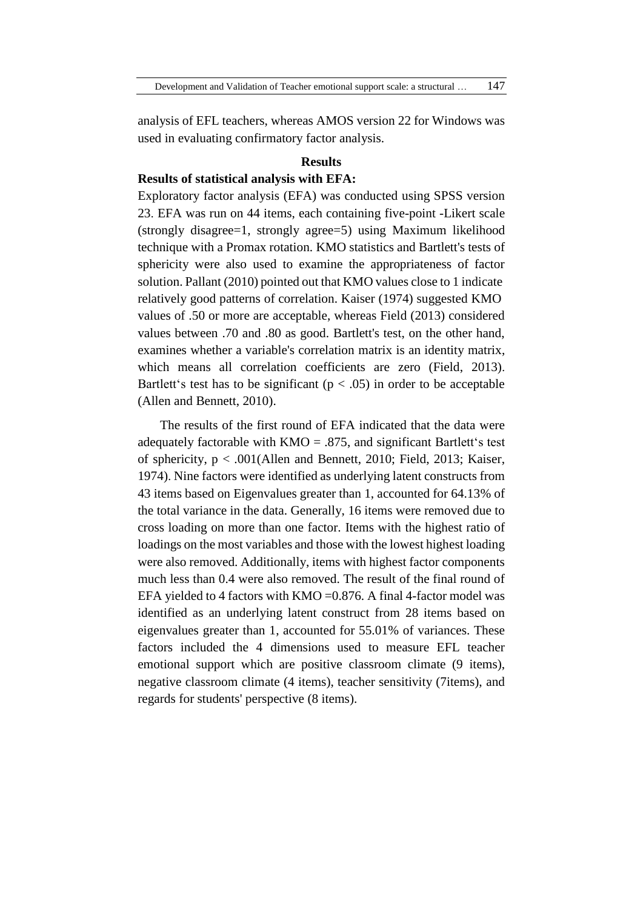analysis of EFL teachers, whereas AMOS version 22 for Windows was used in evaluating confirmatory factor analysis.

#### **Results**

### **Results of statistical analysis with EFA:**

Exploratory factor analysis (EFA) was conducted using SPSS version 23. EFA was run on 44 items, each containing five-point -Likert scale (strongly disagree=1, strongly agree=5) using Maximum likelihood technique with a Promax rotation. KMO statistics and Bartlett's tests of sphericity were also used to examine the appropriateness of factor solution. Pallant (2010) pointed out that KMO values close to 1 indicate relatively good patterns of correlation. Kaiser (1974) suggested KMO values of .50 or more are acceptable, whereas Field (2013) considered values between .70 and .80 as good. Bartlett's test, on the other hand, examines whether a variable's correlation matrix is an identity matrix, which means all correlation coefficients are zero (Field, 2013). Bartlett's test has to be significant ( $p < .05$ ) in order to be acceptable (Allen and Bennett, 2010).

The results of the first round of EFA indicated that the data were adequately factorable with  $KMO = .875$ , and significant Bartlett's test of sphericity, p < .001(Allen and Bennett, 2010; Field, 2013; Kaiser, 1974). Nine factors were identified as underlying latent constructs from 43 items based on Eigenvalues greater than 1, accounted for 64.13% of the total variance in the data. Generally, 16 items were removed due to cross loading on more than one factor. Items with the highest ratio of loadings on the most variables and those with the lowest highest loading were also removed. Additionally, items with highest factor components much less than 0.4 were also removed. The result of the final round of EFA yielded to 4 factors with  $KMO = 0.876$ . A final 4-factor model was identified as an underlying latent construct from 28 items based on eigenvalues greater than 1, accounted for 55.01% of variances. These factors included the 4 dimensions used to measure EFL teacher emotional support which are positive classroom climate (9 items), negative classroom climate (4 items), teacher sensitivity (7items), and regards for students' perspective (8 items).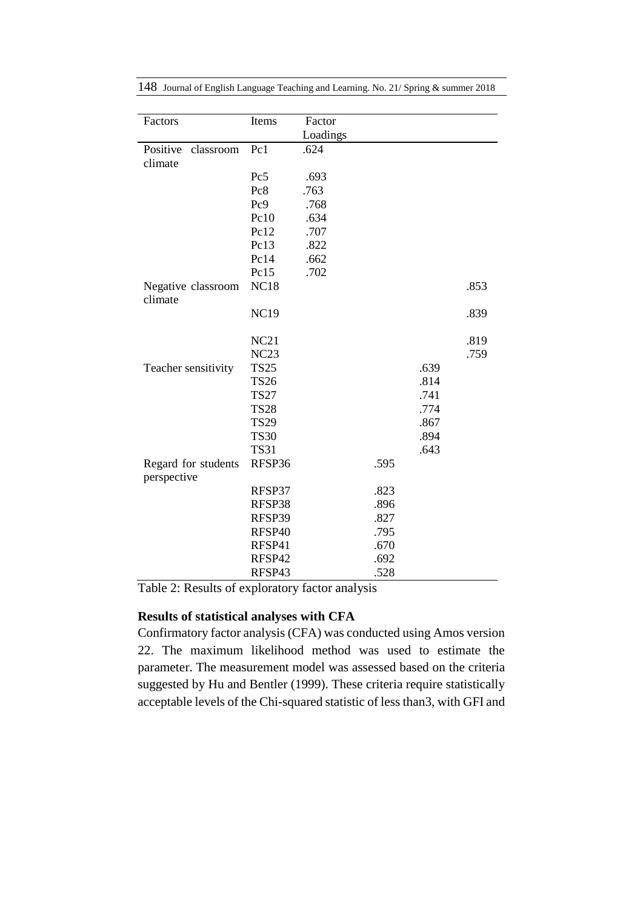| Factors                            | Items       | Factor   |      |      |      |
|------------------------------------|-------------|----------|------|------|------|
|                                    |             | Loadings |      |      |      |
| Positive<br>classroom              | Pc1         | .624     |      |      |      |
| climate                            |             |          |      |      |      |
|                                    | Pc5         | .693     |      |      |      |
|                                    | Pc8         | .763     |      |      |      |
|                                    | Pc9         | .768     |      |      |      |
|                                    | Pc10        | .634     |      |      |      |
|                                    | Pc12        | .707     |      |      |      |
|                                    | Pc13        | .822     |      |      |      |
|                                    | Pc14        | .662     |      |      |      |
|                                    | Pc15        | .702     |      |      |      |
| Negative classroom<br>climate      | <b>NC18</b> |          |      |      | .853 |
|                                    | <b>NC19</b> |          |      |      | .839 |
|                                    | NC21        |          |      |      | .819 |
|                                    | NC23        |          |      |      | .759 |
| Teacher sensitivity                | <b>TS25</b> |          |      | .639 |      |
|                                    | <b>TS26</b> |          |      | .814 |      |
|                                    | <b>TS27</b> |          |      | .741 |      |
|                                    | <b>TS28</b> |          |      | .774 |      |
|                                    | <b>TS29</b> |          |      | .867 |      |
|                                    | <b>TS30</b> |          |      | .894 |      |
|                                    | <b>TS31</b> |          |      | .643 |      |
| Regard for students<br>perspective | RFSP36      |          | .595 |      |      |
|                                    | RFSP37      |          | .823 |      |      |
|                                    | RFSP38      |          | .896 |      |      |
|                                    | RFSP39      |          | .827 |      |      |
|                                    | RFSP40      |          | .795 |      |      |
|                                    | RFSP41      |          | .670 |      |      |
|                                    | RFSP42      |          | .692 |      |      |
|                                    | RFSP43      |          | .528 |      |      |

Table 2: Results of exploratory factor analysis

## **Results of statistical analyses with CFA**

Confirmatory factor analysis (CFA) was conducted using Amos version 22. The maximum likelihood method was used to estimate the parameter. The measurement model was assessed based on the criteria suggested by Hu and Bentler (1999). These criteria require statistically acceptable levels of the Chi-squared statistic of less than3, with GFI and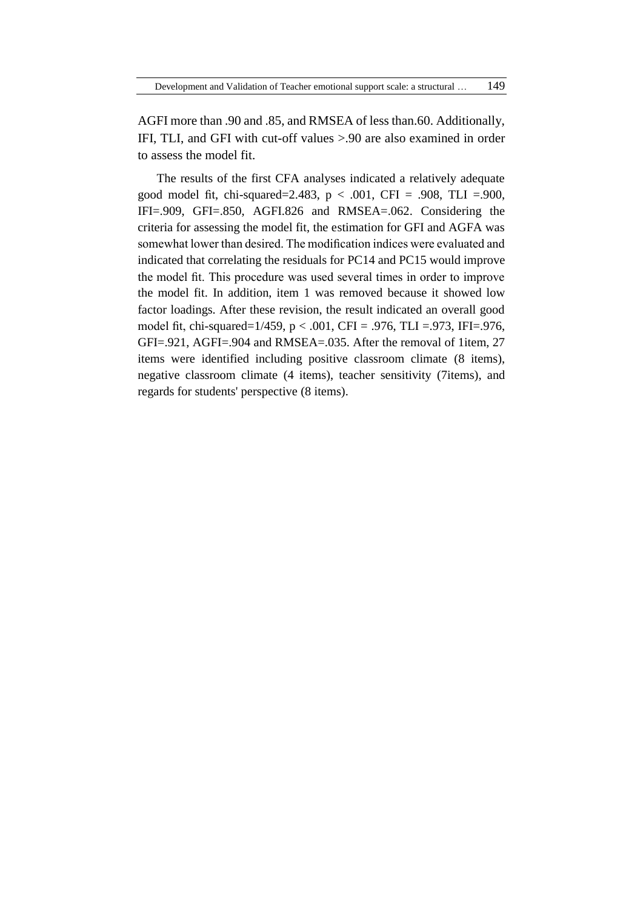AGFI more than .90 and .85, and RMSEA of less than.60. Additionally, IFI, TLI, and GFI with cut-off values >.90 are also examined in order to assess the model fit.

The results of the first CFA analyses indicated a relatively adequate good model fit, chi-squared=2.483,  $p < .001$ , CFI = .908, TLI =.900, IFI=.909, GFI=.850, AGFI.826 and RMSEA=.062. Considering the criteria for assessing the model fit, the estimation for GFI and AGFA was somewhat lower than desired. The modification indices were evaluated and indicated that correlating the residuals for PC14 and PC15 would improve the model fit. This procedure was used several times in order to improve the model fit. In addition, item 1 was removed because it showed low factor loadings. After these revision, the result indicated an overall good model fit, chi-squared=1/459, p < .001, CFI = .976, TLI =.973, IFI=.976, GFI=.921, AGFI=.904 and RMSEA=.035. After the removal of 1item, 27 items were identified including positive classroom climate (8 items), negative classroom climate (4 items), teacher sensitivity (7items), and regards for students' perspective (8 items).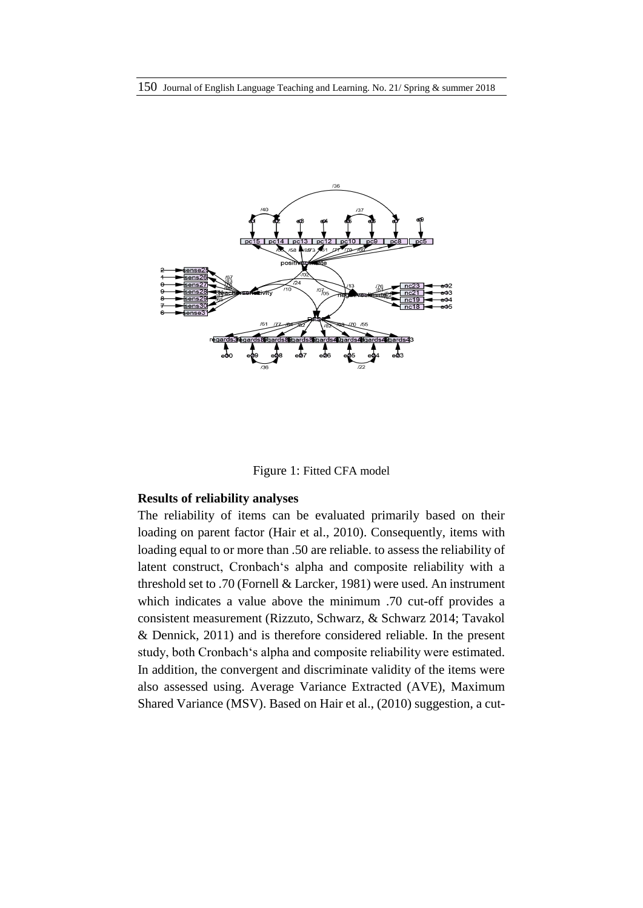



### **Results of reliability analyses**

The reliability of items can be evaluated primarily based on their loading on parent factor (Hair et al., 2010). Consequently, items with loading equal to or more than .50 are reliable. to assess the reliability of latent construct, Cronbach's alpha and composite reliability with a threshold set to .70 (Fornell & Larcker, 1981) were used. An instrument which indicates a value above the minimum .70 cut-off provides a consistent measurement (Rizzuto, Schwarz, & Schwarz 2014; Tavakol & Dennick, 2011) and is therefore considered reliable. In the present study, both Cronbach's alpha and composite reliability were estimated. In addition, the convergent and discriminate validity of the items were also assessed using. Average Variance Extracted (AVE), Maximum Shared Variance (MSV). Based on Hair et al., (2010) suggestion, a cut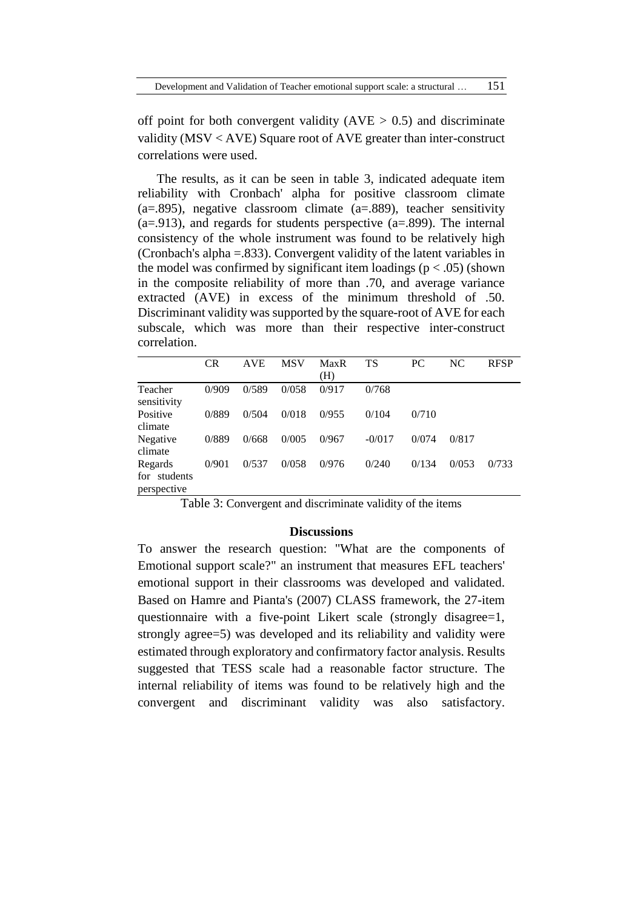Development and Validation of Teacher emotional support scale: a structural … 151

off point for both convergent validity ( $AVE > 0.5$ ) and discriminate validity (MSV < AVE) Square root of AVE greater than inter-construct correlations were used.

The results, as it can be seen in table 3, indicated adequate item reliability with Cronbach' alpha for positive classroom climate  $(a=0.895)$ , negative classroom climate  $(a=0.889)$ , teacher sensitivity  $(a=0.913)$ , and regards for students perspective  $(a=0.899)$ . The internal consistency of the whole instrument was found to be relatively high (Cronbach's alpha =.833). Convergent validity of the latent variables in the model was confirmed by significant item loadings ( $p < .05$ ) (shown in the composite reliability of more than .70, and average variance extracted (AVE) in excess of the minimum threshold of .50. Discriminant validity was supported by the square-root of AVE for each subscale, which was more than their respective inter-construct correlation.

|                                        | <b>CR</b> | <b>AVE</b> | <b>MSV</b> | <b>MaxR</b><br>(H) | TS       | PC.   | NC.   | <b>RFSP</b> |
|----------------------------------------|-----------|------------|------------|--------------------|----------|-------|-------|-------------|
| Teacher<br>sensitivity                 | 0/909     | 0/589      | 0/058      | 0/917              | 0/768    |       |       |             |
| Positive<br>climate                    | 0/889     | 0/504      | 0/018      | 0/955              | 0/104    | 0/710 |       |             |
| Negative<br>climate                    | 0/889     | 0/668      | 0/005      | 0/967              | $-0/017$ | 0/074 | 0/817 |             |
| Regards<br>for students<br>perspective | 0/901     | 0/537      | 0/058      | 0/976              | 0/240    | 0/134 | 0/053 | 0/733       |

Table 3: Convergent and discriminate validity of the items

### **Discussions**

To answer the research question: "What are the components of Emotional support scale?" an instrument that measures EFL teachers' emotional support in their classrooms was developed and validated. Based on Hamre and Pianta's (2007) CLASS framework, the 27-item questionnaire with a five-point Likert scale (strongly disagree=1, strongly agree=5) was developed and its reliability and validity were estimated through exploratory and confirmatory factor analysis. Results suggested that TESS scale had a reasonable factor structure. The internal reliability of items was found to be relatively high and the convergent and discriminant validity was also satisfactory.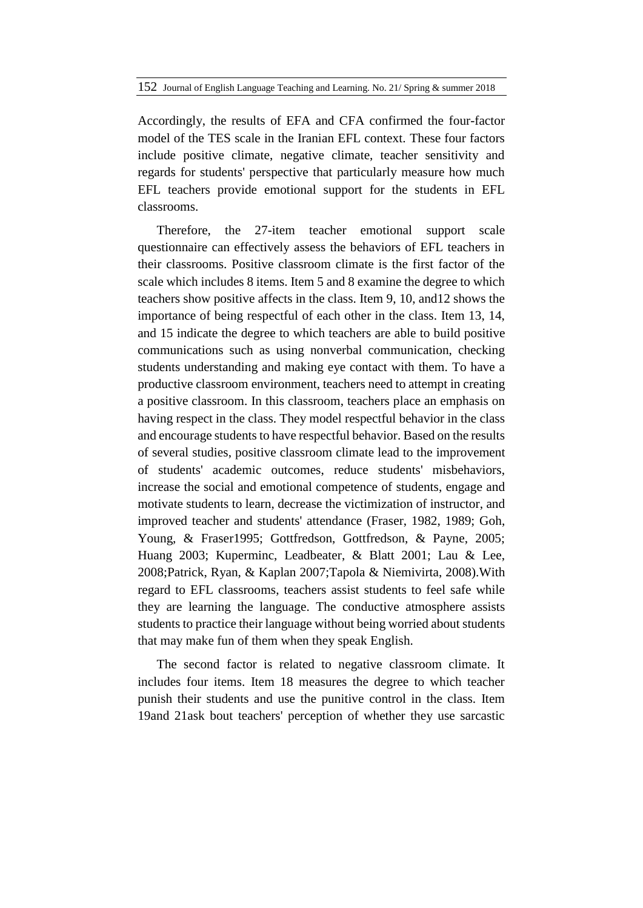Accordingly, the results of EFA and CFA confirmed the four-factor model of the TES scale in the Iranian EFL context. These four factors include positive climate, negative climate, teacher sensitivity and regards for students' perspective that particularly measure how much EFL teachers provide emotional support for the students in EFL classrooms.

Therefore, the 27-item teacher emotional support scale questionnaire can effectively assess the behaviors of EFL teachers in their classrooms. Positive classroom climate is the first factor of the scale which includes 8 items. Item 5 and 8 examine the degree to which teachers show positive affects in the class. Item 9, 10, and12 shows the importance of being respectful of each other in the class. Item 13, 14, and 15 indicate the degree to which teachers are able to build positive communications such as using nonverbal communication, checking students understanding and making eye contact with them. To have a productive classroom environment, teachers need to attempt in creating a positive classroom. In this classroom, teachers place an emphasis on having respect in the class. They model respectful behavior in the class and encourage students to have respectful behavior. Based on the results of several studies, positive classroom climate lead to the improvement of students' academic outcomes, reduce students' misbehaviors, increase the social and emotional competence of students, engage and motivate students to learn, decrease the victimization of instructor, and improved teacher and students' attendance (Fraser, 1982, 1989; Goh, Young, & Fraser1995; Gottfredson, Gottfredson, & Payne, 2005; Huang 2003; Kuperminc, Leadbeater, & Blatt 2001; Lau & Lee, 2008;Patrick, Ryan, & Kaplan 2007;Tapola & Niemivirta, 2008).With regard to EFL classrooms, teachers assist students to feel safe while they are learning the language. The conductive atmosphere assists students to practice their language without being worried about students that may make fun of them when they speak English.

The second factor is related to negative classroom climate. It includes four items. Item 18 measures the degree to which teacher punish their students and use the punitive control in the class. Item 19and 21ask bout teachers' perception of whether they use sarcastic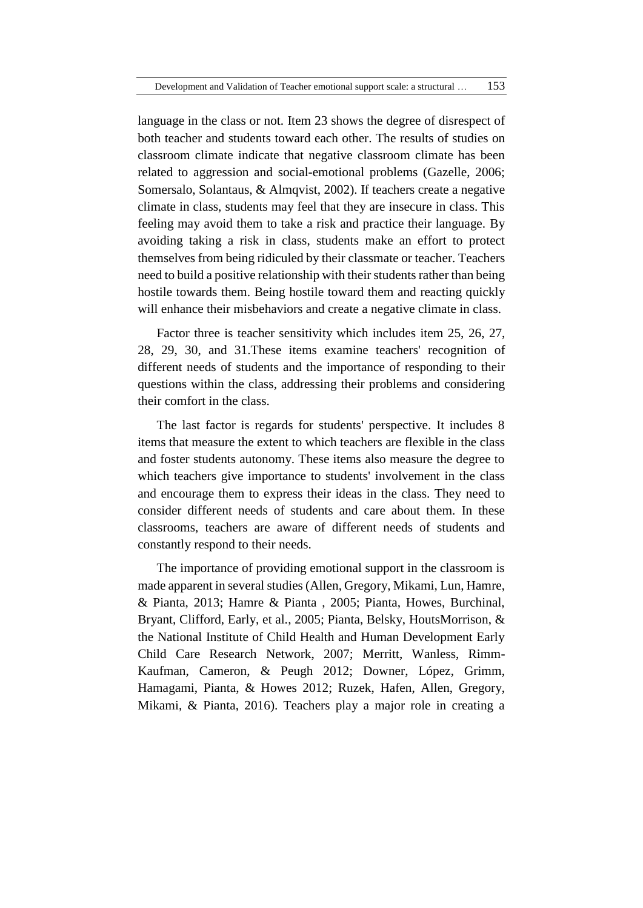language in the class or not. Item 23 shows the degree of disrespect of both teacher and students toward each other. The results of studies on classroom climate indicate that negative classroom climate has been related to aggression and social-emotional problems (Gazelle, 2006; Somersalo, Solantaus, & Almqvist, 2002). If teachers create a negative climate in class, students may feel that they are insecure in class. This feeling may avoid them to take a risk and practice their language. By avoiding taking a risk in class, students make an effort to protect themselves from being ridiculed by their classmate or teacher. Teachers need to build a positive relationship with their students rather than being hostile towards them. Being hostile toward them and reacting quickly will enhance their misbehaviors and create a negative climate in class.

Factor three is teacher sensitivity which includes item 25, 26, 27, 28, 29, 30, and 31.These items examine teachers' recognition of different needs of students and the importance of responding to their questions within the class, addressing their problems and considering their comfort in the class.

The last factor is regards for students' perspective. It includes 8 items that measure the extent to which teachers are flexible in the class and foster students autonomy. These items also measure the degree to which teachers give importance to students' involvement in the class and encourage them to express their ideas in the class. They need to consider different needs of students and care about them. In these classrooms, teachers are aware of different needs of students and constantly respond to their needs.

The importance of providing emotional support in the classroom is made apparent in several studies (Allen, Gregory, Mikami, Lun, Hamre, & Pianta, 2013; Hamre & Pianta , 2005; Pianta, Howes, Burchinal, Bryant, Clifford, Early, et al., 2005; Pianta, Belsky, HoutsMorrison, & the National Institute of Child Health and Human Development Early Child Care Research Network, 2007; Merritt, Wanless, Rimm-Kaufman, Cameron, & Peugh 2012; Downer, López, Grimm, Hamagami, Pianta, & Howes 2012; Ruzek, Hafen, Allen, Gregory, Mikami, & Pianta, 2016). Teachers play a major role in creating a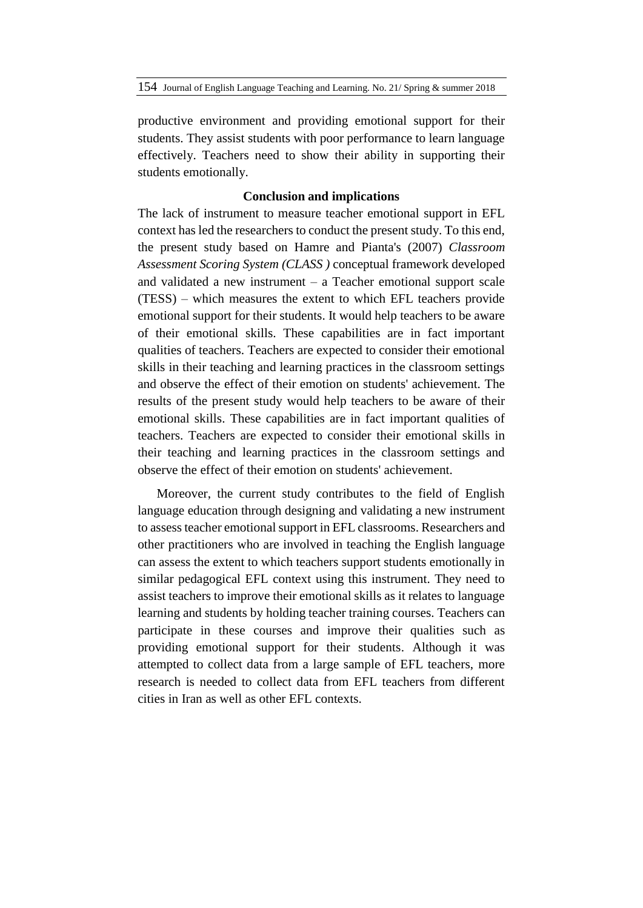productive environment and providing emotional support for their students. They assist students with poor performance to learn language effectively. Teachers need to show their ability in supporting their students emotionally.

### **Conclusion and implications**

The lack of instrument to measure teacher emotional support in EFL context has led the researchers to conduct the present study. To this end, the present study based on Hamre and Pianta's (2007) *Classroom Assessment Scoring System (CLASS )* conceptual framework developed and validated a new instrument – a Teacher emotional support scale (TESS) – which measures the extent to which EFL teachers provide emotional support for their students. It would help teachers to be aware of their emotional skills. These capabilities are in fact important qualities of teachers. Teachers are expected to consider their emotional skills in their teaching and learning practices in the classroom settings and observe the effect of their emotion on students' achievement. The results of the present study would help teachers to be aware of their emotional skills. These capabilities are in fact important qualities of teachers. Teachers are expected to consider their emotional skills in their teaching and learning practices in the classroom settings and observe the effect of their emotion on students' achievement.

Moreover, the current study contributes to the field of English language education through designing and validating a new instrument to assess teacher emotional support in EFL classrooms. Researchers and other practitioners who are involved in teaching the English language can assess the extent to which teachers support students emotionally in similar pedagogical EFL context using this instrument. They need to assist teachers to improve their emotional skills as it relates to language learning and students by holding teacher training courses. Teachers can participate in these courses and improve their qualities such as providing emotional support for their students. Although it was attempted to collect data from a large sample of EFL teachers, more research is needed to collect data from EFL teachers from different cities in Iran as well as other EFL contexts.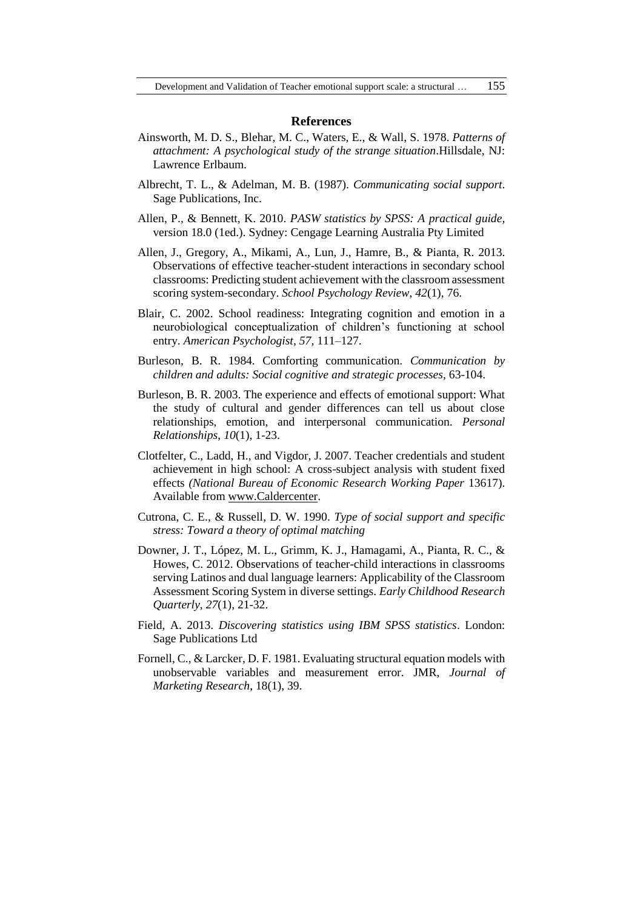#### **References**

- Ainsworth, M. D. S., Blehar, M. C., Waters, E., & Wall, S. 1978. *Patterns of attachment: A psychological study of the strange situation*.Hillsdale, NJ: Lawrence Erlbaum.
- Albrecht, T. L., & Adelman, M. B. (1987). *Communicating social support*. Sage Publications, Inc.
- Allen, P., & Bennett, K. 2010. *PASW statistics by SPSS: A practical guide,*  version 18.0 (1ed.). Sydney: Cengage Learning Australia Pty Limited
- Allen, J., Gregory, A., Mikami, A., Lun, J., Hamre, B., & Pianta, R. 2013. Observations of effective teacher-student interactions in secondary school classrooms: Predicting student achievement with the classroom assessment scoring system-secondary. *School Psychology Review*, *42*(1), 76.
- Blair, C. 2002. School readiness: Integrating cognition and emotion in a neurobiological conceptualization of children's functioning at school entry. *American Psychologist, 57,* 111–127.
- Burleson, B. R. 1984. Comforting communication. *Communication by children and adults: Social cognitive and strategic processes*, 63-104.
- Burleson, B. R. 2003. The experience and effects of emotional support: What the study of cultural and gender differences can tell us about close relationships, emotion, and interpersonal communication. *Personal Relationships*, *10*(1), 1-23.
- Clotfelter, C., Ladd, H., and Vigdor, J. 2007. Teacher credentials and student achievement in high school: A cross-subject analysis with student fixed effects *(National Bureau of Economic Research Working Paper* 13617). Available from [www.Caldercenter.](http://www.caldercenter/)
- Cutrona, C. E., & Russell, D. W. 1990. *Type of social support and specific stress: Toward a theory of optimal matching*
- Downer, J. T., López, M. L., Grimm, K. J., Hamagami, A., Pianta, R. C., & Howes, C. 2012. Observations of teacher-child interactions in classrooms serving Latinos and dual language learners: Applicability of the Classroom Assessment Scoring System in diverse settings. *Early Childhood Research Quarterly*, *27*(1), 21-32.
- Field, A. 2013. *Discovering statistics using IBM SPSS statistics*. London: Sage Publications Ltd
- Fornell, C., & Larcker, D. F. 1981. Evaluating structural equation models with unobservable variables and measurement error. JMR, *Journal of Marketing Research*, 18(1), 39.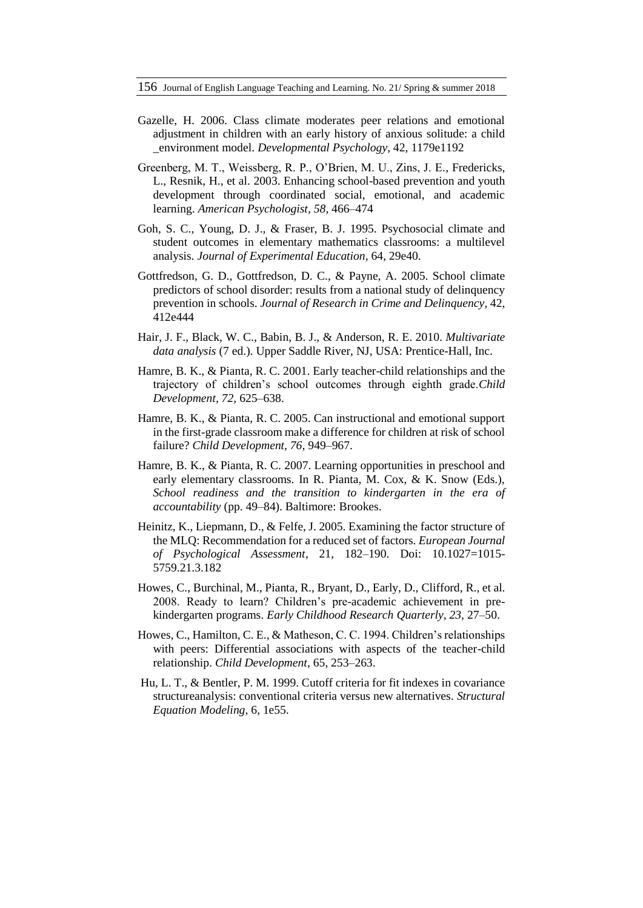- Gazelle, H. 2006. Class climate moderates peer relations and emotional adjustment in children with an early history of anxious solitude: a child \_environment model. *Developmental Psychology*, 42, 1179e1192
- Greenberg, M. T., Weissberg, R. P., O'Brien, M. U., Zins, J. E., Fredericks, L., Resnik, H., et al. 2003. Enhancing school-based prevention and youth development through coordinated social, emotional, and academic learning. *American Psychologist, 58,* 466–474
- Goh, S. C., Young, D. J., & Fraser, B. J. 1995. Psychosocial climate and student outcomes in elementary mathematics classrooms: a multilevel analysis. *Journal of Experimental Education*, 64, 29e40.
- Gottfredson, G. D., Gottfredson, D. C., & Payne, A. 2005. School climate predictors of school disorder: results from a national study of delinquency prevention in schools. *Journal of Research in Crime and Delinquency*, 42, 412e444
- Hair, J. F., Black, W. C., Babin, B. J., & Anderson, R. E. 2010. *Multivariate data analysis* (7 ed.). Upper Saddle River, NJ, USA: Prentice-Hall, Inc.
- Hamre, B. K., & Pianta, R. C. 2001. Early teacher-child relationships and the trajectory of children's school outcomes through eighth grade.*Child Development, 72,* 625–638.
- Hamre, B. K., & Pianta, R. C. 2005. Can instructional and emotional support in the first-grade classroom make a difference for children at risk of school failure? *Child Development, 76,* 949–967.
- Hamre, B. K., & Pianta, R. C. 2007. Learning opportunities in preschool and early elementary classrooms. In R. Pianta, M. Cox, & K. Snow (Eds.), *School readiness and the transition to kindergarten in the era of accountability* (pp. 49–84). Baltimore: Brookes.
- Heinitz, K., Liepmann, D., & Felfe, J. 2005. Examining the factor structure of the MLQ: Recommendation for a reduced set of factors. *European Journal of Psychological Assessment*, 21, 182–190. Doi: 10.1027=1015- 5759.21.3.182
- Howes, C., Burchinal, M., Pianta, R., Bryant, D., Early, D., Clifford, R., et al. 2008. Ready to learn? Children's pre-academic achievement in prekindergarten programs. *Early Childhood Research Quarterly, 23,* 27–50.
- Howes, C., Hamilton, C. E., & Matheson, C. C. 1994. Children's relationships with peers: Differential associations with aspects of the teacher-child relationship. *Child Development*, 65, 253–263.
- Hu, L. T., & Bentler, P. M. 1999. Cutoff criteria for fit indexes in covariance structureanalysis: conventional criteria versus new alternatives. *Structural Equation Modeling*, 6, 1e55.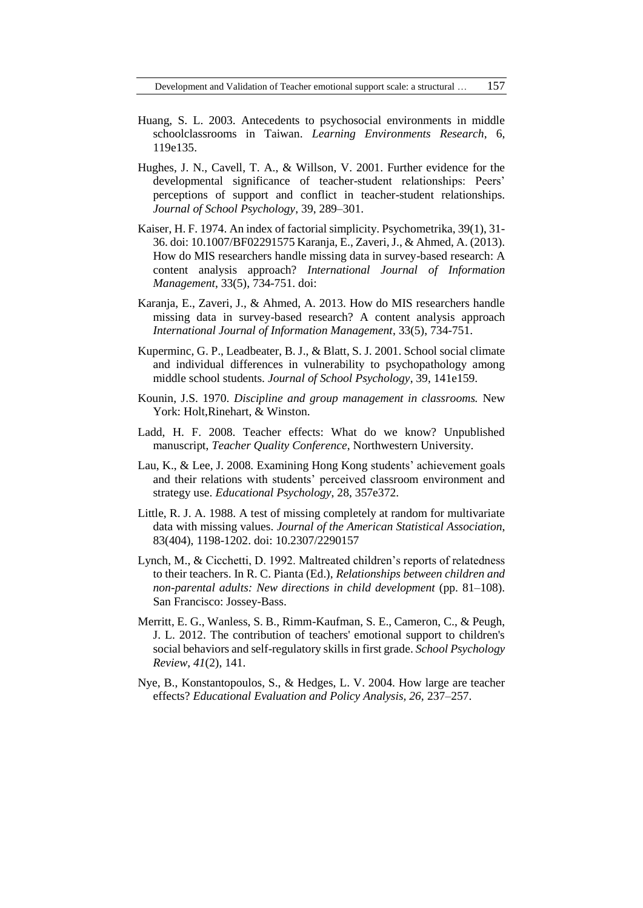Development and Validation of Teacher emotional support scale: a structural … 157

- Huang, S. L. 2003. Antecedents to psychosocial environments in middle schoolclassrooms in Taiwan. *Learning Environments Research*, 6, 119e135.
- Hughes, J. N., Cavell, T. A., & Willson, V. 2001. Further evidence for the developmental significance of teacher-student relationships: Peers' perceptions of support and conflict in teacher-student relationships. *Journal of School Psychology*, 39, 289–301.
- Kaiser, H. F. 1974. An index of factorial simplicity. Psychometrika, 39(1), 31- 36. doi: 10.1007/BF02291575 Karanja, E., Zaveri, J., & Ahmed, A. (2013). How do MIS researchers handle missing data in survey-based research: A content analysis approach? *International Journal of Information Management*, 33(5), 734-751. doi:
- Karanja, E., Zaveri, J., & Ahmed, A. 2013. How do MIS researchers handle missing data in survey-based research? A content analysis approach *International Journal of Information Management*, 33(5), 734-751.
- Kuperminc, G. P., Leadbeater, B. J., & Blatt, S. J. 2001. School social climate and individual differences in vulnerability to psychopathology among middle school students. *Journal of School Psychology*, 39, 141e159.
- Kounin, J.S. 1970. *Discipline and group management in classrooms.* New York: Holt,Rinehart, & Winston.
- Ladd, H. F. 2008. Teacher effects: What do we know? Unpublished manuscript, *Teacher Quality Conference*, Northwestern University.
- Lau, K., & Lee, J. 2008. Examining Hong Kong students' achievement goals and their relations with students' perceived classroom environment and strategy use. *Educational Psychology*, 28, 357e372.
- Little, R. J. A. 1988. A test of missing completely at random for multivariate data with missing values. *Journal of the American Statistical Association*, 83(404), 1198-1202. doi: 10.2307/2290157
- Lynch, M., & Cicchetti, D. 1992. Maltreated children's reports of relatedness to their teachers. In R. C. Pianta (Ed.), *Relationships between children and non-parental adults: New directions in child development* (pp. 81–108). San Francisco: Jossey-Bass.
- Merritt, E. G., Wanless, S. B., Rimm-Kaufman, S. E., Cameron, C., & Peugh, J. L. 2012. The contribution of teachers' emotional support to children's social behaviors and self-regulatory skills in first grade. *School Psychology Review*, *41*(2), 141.
- Nye, B., Konstantopoulos, S., & Hedges, L. V. 2004. How large are teacher effects? *Educational Evaluation and Policy Analysis, 26,* 237–257.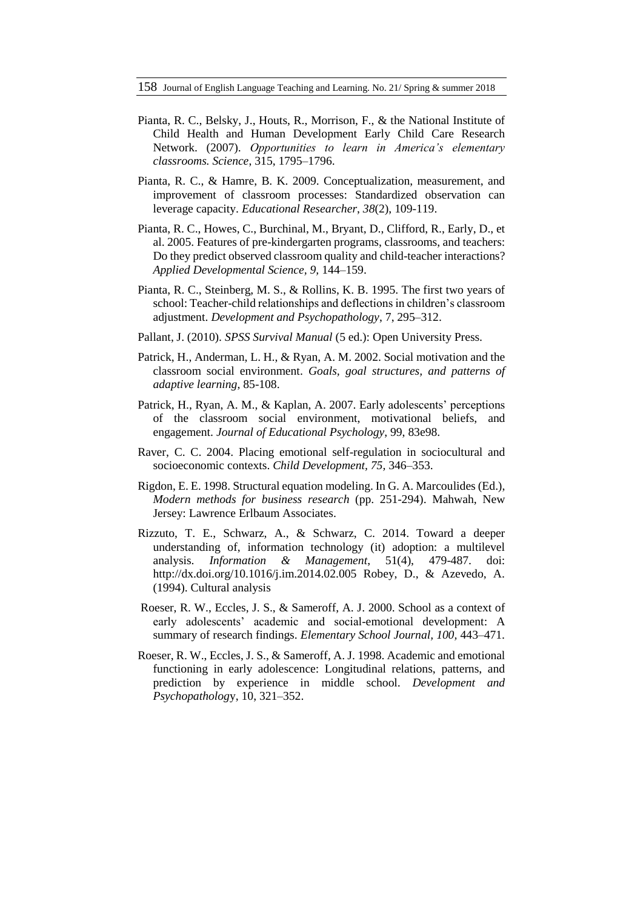- Pianta, R. C., Belsky, J., Houts, R., Morrison, F., & the National Institute of Child Health and Human Development Early Child Care Research Network. (2007). *Opportunities to learn in America's elementary classrooms. Science*, 315, 1795–1796.
- Pianta, R. C., & Hamre, B. K. 2009. Conceptualization, measurement, and improvement of classroom processes: Standardized observation can leverage capacity. *Educational Researcher*, *38*(2), 109-119.
- Pianta, R. C., Howes, C., Burchinal, M., Bryant, D., Clifford, R., Early, D., et al. 2005. Features of pre-kindergarten programs, classrooms, and teachers: Do they predict observed classroom quality and child-teacher interactions? *Applied Developmental Science, 9,* 144–159.
- Pianta, R. C., Steinberg, M. S., & Rollins, K. B. 1995. The first two years of school: Teacher-child relationships and deflections in children's classroom adjustment. *Development and Psychopathology*, 7, 295–312.
- Pallant, J. (2010). *SPSS Survival Manual* (5 ed.): Open University Press.
- Patrick, H., Anderman, L. H., & Ryan, A. M. 2002. Social motivation and the classroom social environment. *Goals, goal structures, and patterns of adaptive learning*, 85-108.
- Patrick, H., Ryan, A. M., & Kaplan, A. 2007. Early adolescents' perceptions of the classroom social environment, motivational beliefs, and engagement. *Journal of Educational Psychology*, 99, 83e98.
- Raver, C. C. 2004. Placing emotional self-regulation in sociocultural and socioeconomic contexts. *Child Development, 75,* 346–353.
- Rigdon, E. E. 1998. Structural equation modeling. In G. A. Marcoulides (Ed.), *Modern methods for business research* (pp. 251-294). Mahwah, New Jersey: Lawrence Erlbaum Associates.
- Rizzuto, T. E., Schwarz, A., & Schwarz, C. 2014. Toward a deeper understanding of, information technology (it) adoption: a multilevel analysis. *Information & Management*, 51(4), 479-487. doi: http://dx.doi.org/10.1016/j.im.2014.02.005 Robey, D., & Azevedo, A. (1994). Cultural analysis
- Roeser, R. W., Eccles, J. S., & Sameroff, A. J. 2000. School as a context of early adolescents' academic and social-emotional development: A summary of research findings. *Elementary School Journal, 100,* 443–471.
- Roeser, R. W., Eccles, J. S., & Sameroff, A. J. 1998. Academic and emotional functioning in early adolescence: Longitudinal relations, patterns, and prediction by experience in middle school. *Development and Psychopatholog*y, 10, 321–352.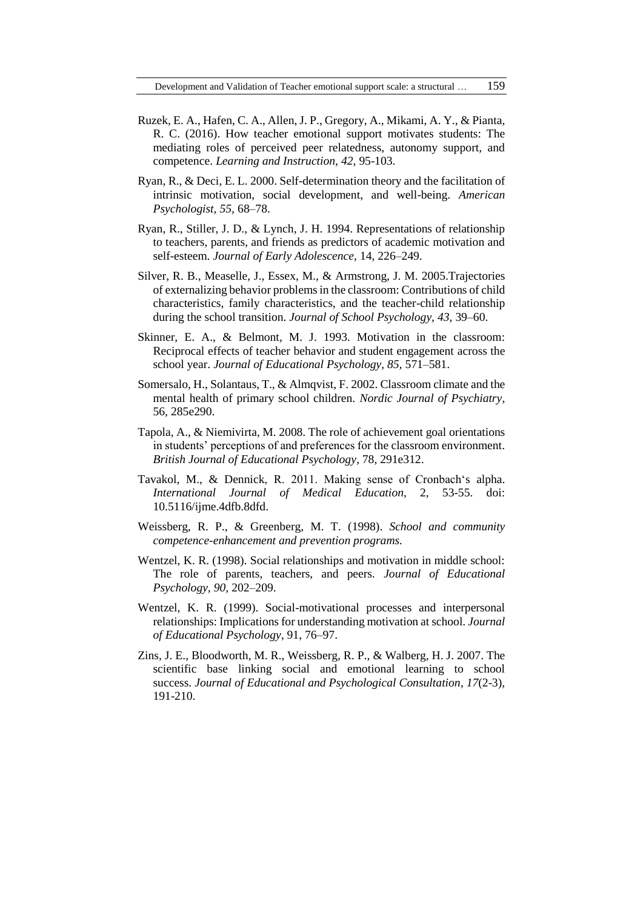- Ruzek, E. A., Hafen, C. A., Allen, J. P., Gregory, A., Mikami, A. Y., & Pianta, R. C. (2016). How teacher emotional support motivates students: The mediating roles of perceived peer relatedness, autonomy support, and competence. *Learning and Instruction*, *42*, 95-103.
- Ryan, R., & Deci, E. L. 2000. Self-determination theory and the facilitation of intrinsic motivation, social development, and well-being. *American Psychologist, 55,* 68–78.
- Ryan, R., Stiller, J. D., & Lynch, J. H. 1994. Representations of relationship to teachers, parents, and friends as predictors of academic motivation and self-esteem. *Journal of Early Adolescence*, 14, 226–249.
- Silver, R. B., Measelle, J., Essex, M., & Armstrong, J. M. 2005.Trajectories of externalizing behavior problems in the classroom: Contributions of child characteristics, family characteristics, and the teacher-child relationship during the school transition. *Journal of School Psychology, 43,* 39–60.
- Skinner, E. A., & Belmont, M. J. 1993. Motivation in the classroom: Reciprocal effects of teacher behavior and student engagement across the school year. *Journal of Educational Psychology, 85,* 571–581.
- Somersalo, H., Solantaus, T., & Almqvist, F. 2002. Classroom climate and the mental health of primary school children. *Nordic Journal of Psychiatry*, 56, 285e290.
- Tapola, A., & Niemivirta, M. 2008. The role of achievement goal orientations in students' perceptions of and preferences for the classroom environment. *British Journal of Educational Psychology*, 78, 291e312.
- Tavakol, M., & Dennick, R. 2011. Making sense of Cronbach's alpha. *International Journal of Medical Education*, 2, 53-55. doi: 10.5116/ijme.4dfb.8dfd.
- Weissberg, R. P., & Greenberg, M. T. (1998). *School and community competence-enhancement and prevention programs.*
- Wentzel, K. R. (1998). Social relationships and motivation in middle school: The role of parents, teachers, and peers. *Journal of Educational Psychology, 90,* 202–209.
- Wentzel, K. R. (1999). Social-motivational processes and interpersonal relationships: Implications for understanding motivation at school. *Journal of Educational Psychology*, 91, 76–97.
- Zins, J. E., Bloodworth, M. R., Weissberg, R. P., & Walberg, H. J. 2007. The scientific base linking social and emotional learning to school success. *Journal of Educational and Psychological Consultation*, *17*(2-3), 191-210.